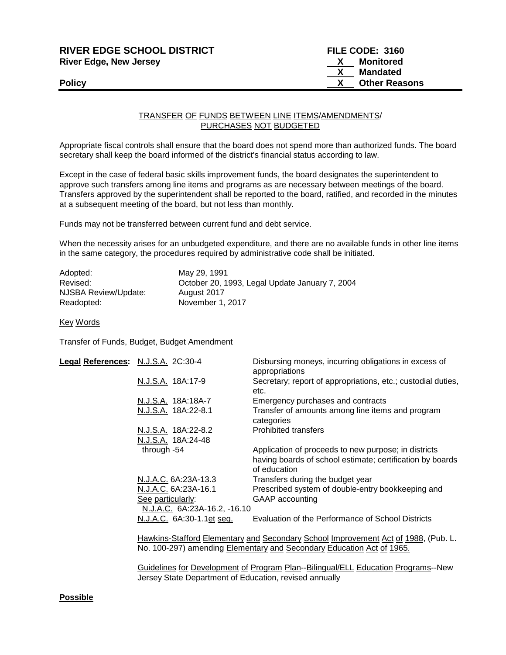| <b>RIVER EDGE SCHOOL DISTRICT</b> | FILE CODE: 3160           |
|-----------------------------------|---------------------------|
| <b>River Edge, New Jersey</b>     | Monitored<br>$\mathbf{X}$ |
|                                   | Mandated                  |
| <b>Policy</b>                     | <b>Other Reasons</b>      |
|                                   |                           |

## TRANSFER OF FUNDS BETWEEN LINE ITEMS/AMENDMENTS/ PURCHASES NOT BUDGETED

Appropriate fiscal controls shall ensure that the board does not spend more than authorized funds. The board secretary shall keep the board informed of the district's financial status according to law.

Except in the case of federal basic skills improvement funds, the board designates the superintendent to approve such transfers among line items and programs as are necessary between meetings of the board. Transfers approved by the superintendent shall be reported to the board, ratified, and recorded in the minutes at a subsequent meeting of the board, but not less than monthly.

Funds may not be transferred between current fund and debt service.

When the necessity arises for an unbudgeted expenditure, and there are no available funds in other line items in the same category, the procedures required by administrative code shall be initiated.

| Adopted:             | May 29, 1991                                   |
|----------------------|------------------------------------------------|
| Revised:             | October 20, 1993, Legal Update January 7, 2004 |
| NJSBA Review/Update: | August 2017                                    |
| Readopted:           | November 1, 2017                               |

Key Words

Transfer of Funds, Budget, Budget Amendment

| Legal References: N.J.S.A. 2C:30-4 |                              | Disbursing moneys, incurring obligations in excess of<br>appropriations                                                                                            |
|------------------------------------|------------------------------|--------------------------------------------------------------------------------------------------------------------------------------------------------------------|
|                                    | N.J.S.A. 18A:17-9            | Secretary; report of appropriations, etc.; custodial duties,<br>etc.                                                                                               |
|                                    | N.J.S.A. 18A:18A-7           | Emergency purchases and contracts                                                                                                                                  |
|                                    | N.J.S.A. 18A:22-8.1          | Transfer of amounts among line items and program<br>categories                                                                                                     |
|                                    | N.J.S.A. 18A:22-8.2          | <b>Prohibited transfers</b>                                                                                                                                        |
|                                    | N.J.S.A. 18A:24-48           |                                                                                                                                                                    |
|                                    | through -54                  | Application of proceeds to new purpose; in districts<br>having boards of school estimate; certification by boards<br>of education                                  |
|                                    | N.J.A.C. 6A:23A-13.3         | Transfers during the budget year                                                                                                                                   |
|                                    | N.J.A.C. 6A:23A-16.1         | Prescribed system of double-entry bookkeeping and                                                                                                                  |
|                                    | See particularly:            | GAAP accounting                                                                                                                                                    |
|                                    | N.J.A.C. 6A:23A-16.2, -16.10 |                                                                                                                                                                    |
|                                    | N.J.A.C. 6A:30-1.1et seq.    | Evaluation of the Performance of School Districts                                                                                                                  |
|                                    |                              | Hawkins-Stafford Elementary and Secondary School Improvement Act of 1988, (Pub. L.<br>No. 100-297) amending <b>Elementary and Secondary Education Act of 1965.</b> |

Guidelines for Development of Program Plan--Bilingual/ELL Education Programs--New Jersey State Department of Education, revised annually

## **Possible**